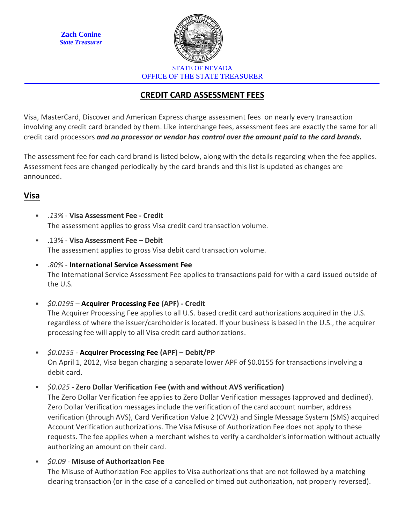**Zach Conine** *State Treasurer*



STATE OF NEVADA OFFICE OF THE STATE TREASURER

# **CREDIT CARD ASSESSMENT FEES**

Visa, MasterCard, Discover and American Express charge assessment fees on nearly every transaction involving any credit card branded by them. Like interchange fees, assessment fees are exactly the same for all credit card processors *and no processor or vendor has control over the amount paid to the card brands.*

The assessment fee for each card brand is listed below, along with the details regarding when the fee applies. Assessment fees are changed periodically by the card brands and this list is updated as changes are announced.

## **Visa**

- *.13%* **Visa Assessment Fee - Credit** The assessment applies to gross Visa credit card transaction volume.
- .13% **Visa Assessment Fee – Debit** The assessment applies to gross Visa debit card transaction volume.
- *.80%* **International Service Assessment Fee** The International Service Assessment Fee applies to transactions paid for with a card issued outside of the U.S.
- *\$0.0195* **Acquirer Processing Fee (APF) - Credit** The Acquirer Processing Fee applies to all U.S. based credit card authorizations acquired in the U.S. regardless of where the issuer/cardholder is located. If your business is based in the U.S., the acquirer processing fee will apply to all Visa credit card authorizations.
- *\$0.0155* **Acquirer Processing Fee (APF) – Debit/PP** On April 1, 2012, Visa began charging a separate lower APF of \$0.0155 for transactions involving a debit card.

▪ *\$0.025* - **Zero Dollar Verification Fee (with and without AVS verification)** 

The Zero Dollar Verification fee applies to Zero Dollar Verification messages (approved and declined). Zero Dollar Verification messages include the verification of the card account number, address verification (through AVS), Card Verification Value 2 (CVV2) and Single Message System (SMS) acquired Account Verification authorizations. The Visa Misuse of Authorization Fee does not apply to these requests. The fee applies when a merchant wishes to verify a cardholder's information without actually authorizing an amount on their card.

▪ *\$0.09* - **Misuse of Authorization Fee**

The Misuse of Authorization Fee applies to Visa authorizations that are not followed by a matching clearing transaction (or in the case of a cancelled or timed out authorization, not properly reversed).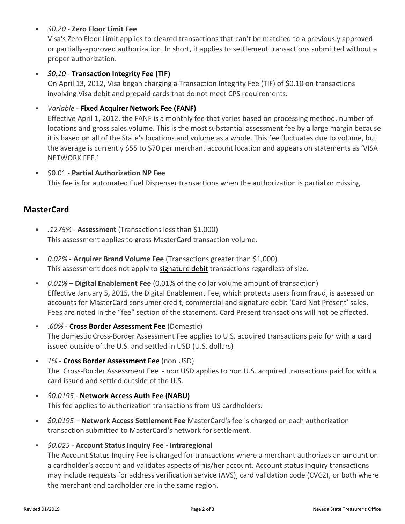#### ▪ *\$0.20* - **Zero Floor Limit Fee**

Visa's Zero Floor Limit applies to cleared transactions that can't be matched to a previously approved or partially-approved authorization. In short, it applies to settlement transactions submitted without a proper authorization.

#### ▪ *\$0.10 -* **Transaction Integrity Fee (TIF)**

On April 13, 2012, Visa began charging a Transaction Integrity Fee (TIF) of \$0.10 on transactions involving Visa debit and prepaid cards that do not meet CPS requirements.

#### ▪ *Variable* - **Fixed Acquirer Network Fee (FANF)**

Effective April 1, 2012, the FANF is a monthly fee that varies based on processing method, number of locations and gross sales volume. This is the most substantial assessment fee by a large margin because it is based on all of the State's locations and volume as a whole. This fee fluctuates due to volume, but the average is currently \$55 to \$70 per merchant account location and appears on statements as 'VISA NETWORK FEE.'

▪ \$0.01 - **Partial Authorization NP Fee** This fee is for automated Fuel Dispenser transactions when the authorization is partial or missing.

### **MasterCard**

- *.1275%* **Assessment** (Transactions less than \$1,000) This assessment applies to gross MasterCard transaction volume.
- *0.02%* **Acquirer Brand Volume Fee** (Transactions greater than \$1,000) This assessment does not apply to signature debit transactions regardless of size.
- *0.01% –* **Digital Enablement Fee** (0.01% of the dollar volume amount of transaction) Effective January 5, 2015, the Digital Enablement Fee, which protects users from fraud, is assessed on accounts for MasterCard consumer credit, commercial and signature debit 'Card Not Present' sales. Fees are noted in the "fee" section of the statement. Card Present transactions will not be affected.
- *.60%* **Cross Border Assessment Fee** (Domestic) The domestic Cross-Border Assessment Fee applies to U.S. acquired transactions paid for with a card issued outside of the U.S. and settled in USD (U.S. dollars)
- *1%* **Cross Border Assessment Fee** (non USD) The Cross-Border Assessment Fee - non USD applies to non U.S. acquired transactions paid for with a card issued and settled outside of the U.S.
- *\$0.0195* **Network Access Auth Fee (NABU)** This fee applies to authorization transactions from US cardholders.
- *\$0.0195* **Network Access Settlement Fee** MasterCard's fee is charged on each authorization transaction submitted to MasterCard's network for settlement.
- *\$0.025* **Account Status Inquiry Fee - Intraregional** The Account Status Inquiry Fee is charged for transactions where a merchant authorizes an amount on a cardholder's account and validates aspects of his/her account. Account status inquiry transactions may include requests for address verification service (AVS), card validation code (CVC2), or both where the merchant and cardholder are in the same region.